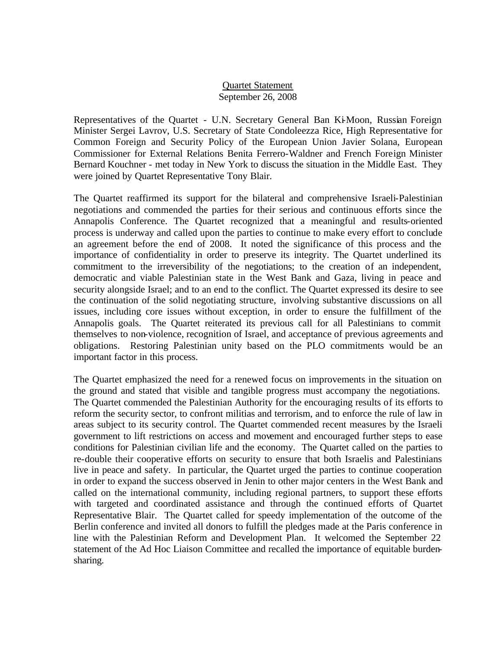## Quartet Statement September 26, 2008

Representatives of the Quartet - U.N. Secretary General Ban Ki-Moon, Russian Foreign Minister Sergei Lavrov, U.S. Secretary of State Condoleezza Rice, High Representative for Common Foreign and Security Policy of the European Union Javier Solana, European Commissioner for External Relations Benita Ferrero-Waldner and French Foreign Minister Bernard Kouchner - met today in New York to discuss the situation in the Middle East. They were joined by Quartet Representative Tony Blair.

The Quartet reaffirmed its support for the bilateral and comprehensive Israeli-Palestinian negotiations and commended the parties for their serious and continuous efforts since the Annapolis Conference. The Quartet recognized that a meaningful and results-oriented process is underway and called upon the parties to continue to make every effort to conclude an agreement before the end of 2008. It noted the significance of this process and the importance of confidentiality in order to preserve its integrity. The Quartet underlined its commitment to the irreversibility of the negotiations; to the creation of an independent, democratic and viable Palestinian state in the West Bank and Gaza, living in peace and security alongside Israel; and to an end to the conflict. The Quartet expressed its desire to see the continuation of the solid negotiating structure, involving substantive discussions on all issues, including core issues without exception, in order to ensure the fulfillment of the Annapolis goals. The Quartet reiterated its previous call for all Palestinians to commit themselves to non-violence, recognition of Israel, and acceptance of previous agreements and obligations. Restoring Palestinian unity based on the PLO commitments would be an important factor in this process.

The Quartet emphasized the need for a renewed focus on improvements in the situation on the ground and stated that visible and tangible progress must accompany the negotiations. The Quartet commended the Palestinian Authority for the encouraging results of its efforts to reform the security sector, to confront militias and terrorism, and to enforce the rule of law in areas subject to its security control. The Quartet commended recent measures by the Israeli government to lift restrictions on access and movement and encouraged further steps to ease conditions for Palestinian civilian life and the economy. The Quartet called on the parties to re-double their cooperative efforts on security to ensure that both Israelis and Palestinians live in peace and safety. In particular, the Quartet urged the parties to continue cooperation in order to expand the success observed in Jenin to other major centers in the West Bank and called on the international community, including regional partners, to support these efforts with targeted and coordinated assistance and through the continued efforts of Quartet Representative Blair. The Quartet called for speedy implementation of the outcome of the Berlin conference and invited all donors to fulfill the pledges made at the Paris conference in line with the Palestinian Reform and Development Plan. It welcomed the September 22 statement of the Ad Hoc Liaison Committee and recalled the importance of equitable burdensharing.